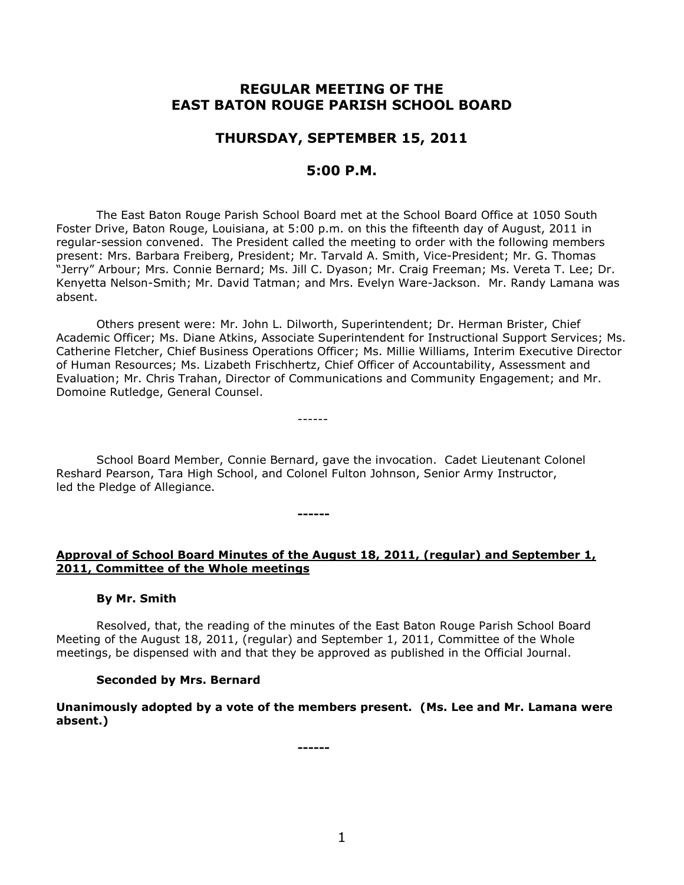# **REGULAR MEETING OF THE EAST BATON ROUGE PARISH SCHOOL BOARD**

# **THURSDAY, SEPTEMBER 15, 2011**

# **5:00 P.M.**

The East Baton Rouge Parish School Board met at the School Board Office at 1050 South Foster Drive, Baton Rouge, Louisiana, at 5:00 p.m. on this the fifteenth day of August, 2011 in regular-session convened. The President called the meeting to order with the following members present: Mrs. Barbara Freiberg, President; Mr. Tarvald A. Smith, Vice-President; Mr. G. Thomas "Jerry" Arbour; Mrs. Connie Bernard; Ms. Jill C. Dyason; Mr. Craig Freeman; Ms. Vereta T. Lee; Dr. Kenyetta Nelson-Smith; Mr. David Tatman; and Mrs. Evelyn Ware-Jackson. Mr. Randy Lamana was absent.

Others present were: Mr. John L. Dilworth, Superintendent; Dr. Herman Brister, Chief Academic Officer; Ms. Diane Atkins, Associate Superintendent for Instructional Support Services; Ms. Catherine Fletcher, Chief Business Operations Officer; Ms. Millie Williams, Interim Executive Director of Human Resources; Ms. Lizabeth Frischhertz, Chief Officer of Accountability, Assessment and Evaluation; Mr. Chris Trahan, Director of Communications and Community Engagement; and Mr. Domoine Rutledge, General Counsel.

------

School Board Member, Connie Bernard, gave the invocation. Cadet Lieutenant Colonel Reshard Pearson, Tara High School, and Colonel Fulton Johnson, Senior Army Instructor, led the Pledge of Allegiance.

**------**

# **Approval of School Board Minutes of the August 18, 2011, (regular) and September 1, 2011, Committee of the Whole meetings**

### **By Mr. Smith**

Resolved, that, the reading of the minutes of the East Baton Rouge Parish School Board Meeting of the August 18, 2011, (regular) and September 1, 2011, Committee of the Whole meetings, be dispensed with and that they be approved as published in the Official Journal.

### **Seconded by Mrs. Bernard**

**Unanimously adopted by a vote of the members present. (Ms. Lee and Mr. Lamana were absent.)**

**------**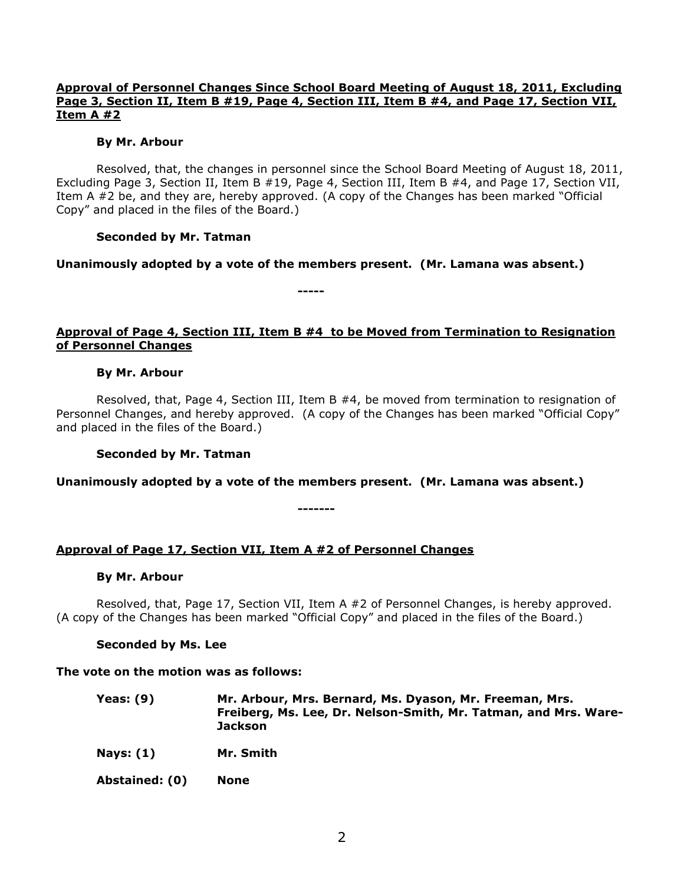## **Approval of Personnel Changes Since School Board Meeting of August 18, 2011, Excluding Page 3, Section II, Item B #19, Page 4, Section III, Item B #4, and Page 17, Section VII, Item A #2**

### **By Mr. Arbour**

Resolved, that, the changes in personnel since the School Board Meeting of August 18, 2011, Excluding Page 3, Section II, Item B #19, Page 4, Section III, Item B #4, and Page 17, Section VII, Item A #2 be, and they are, hereby approved. (A copy of the Changes has been marked "Official Copy" and placed in the files of the Board.)

### **Seconded by Mr. Tatman**

### **Unanimously adopted by a vote of the members present. (Mr. Lamana was absent.)**

**-----**

**Approval of Page 4, Section III, Item B #4 to be Moved from Termination to Resignation of Personnel Changes**

#### **By Mr. Arbour**

Resolved, that, Page 4, Section III, Item B #4, be moved from termination to resignation of Personnel Changes, and hereby approved. (A copy of the Changes has been marked "Official Copy" and placed in the files of the Board.)

#### **Seconded by Mr. Tatman**

**Unanimously adopted by a vote of the members present. (Mr. Lamana was absent.)**

**-------**

### **Approval of Page 17, Section VII, Item A #2 of Personnel Changes**

#### **By Mr. Arbour**

Resolved, that, Page 17, Section VII, Item A #2 of Personnel Changes, is hereby approved. (A copy of the Changes has been marked "Official Copy" and placed in the files of the Board.)

### **Seconded by Ms. Lee**

#### **The vote on the motion was as follows:**

| Yeas: (9) | Mr. Arbour, Mrs. Bernard, Ms. Dyason, Mr. Freeman, Mrs.         |
|-----------|-----------------------------------------------------------------|
|           | Freiberg, Ms. Lee, Dr. Nelson-Smith, Mr. Tatman, and Mrs. Ware- |
|           | Jackson                                                         |

**Nays: (1) Mr. Smith**

**Abstained: (0) None**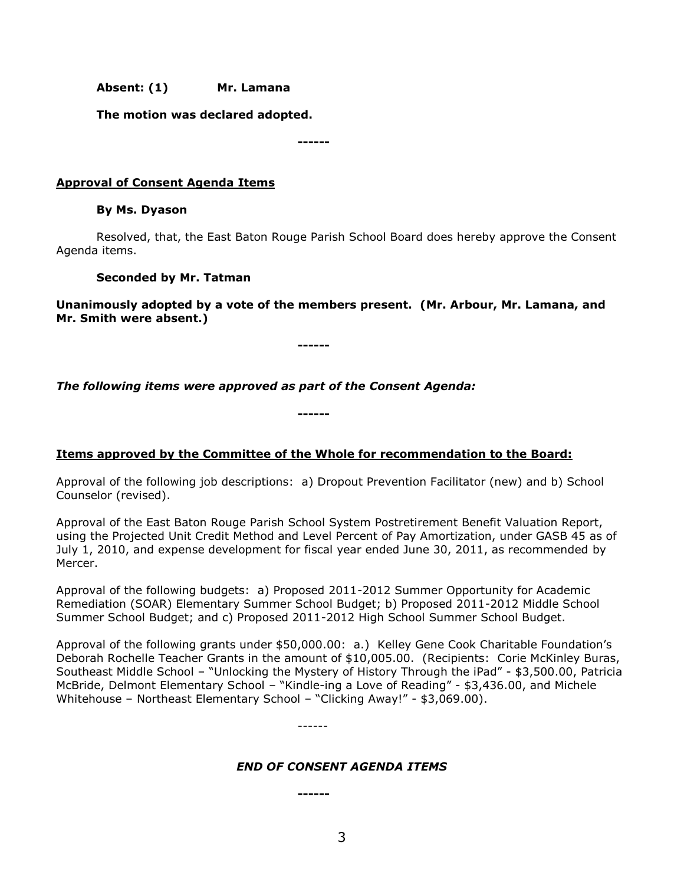**Absent: (1) Mr. Lamana**

**The motion was declared adopted.**

**------**

## **Approval of Consent Agenda Items**

### **By Ms. Dyason**

Resolved, that, the East Baton Rouge Parish School Board does hereby approve the Consent Agenda items.

### **Seconded by Mr. Tatman**

**Unanimously adopted by a vote of the members present. (Mr. Arbour, Mr. Lamana, and Mr. Smith were absent.)**

**------**

*The following items were approved as part of the Consent Agenda:*

# **Items approved by the Committee of the Whole for recommendation to the Board:**

**------**

Approval of the following job descriptions: a) Dropout Prevention Facilitator (new) and b) School Counselor (revised).

Approval of the East Baton Rouge Parish School System Postretirement Benefit Valuation Report, using the Projected Unit Credit Method and Level Percent of Pay Amortization, under GASB 45 as of July 1, 2010, and expense development for fiscal year ended June 30, 2011, as recommended by Mercer.

Approval of the following budgets: a) Proposed 2011-2012 Summer Opportunity for Academic Remediation (SOAR) Elementary Summer School Budget; b) Proposed 2011-2012 Middle School Summer School Budget; and c) Proposed 2011-2012 High School Summer School Budget.

Approval of the following grants under \$50,000.00: a.) Kelley Gene Cook Charitable Foundation's Deborah Rochelle Teacher Grants in the amount of \$10,005.00. (Recipients: Corie McKinley Buras, Southeast Middle School – "Unlocking the Mystery of History Through the iPad" - \$3,500.00, Patricia McBride, Delmont Elementary School – "Kindle-ing a Love of Reading" - \$3,436.00, and Michele Whitehouse – Northeast Elementary School – "Clicking Away!" - \$3,069.00).

------

### *END OF CONSENT AGENDA ITEMS*

**------**